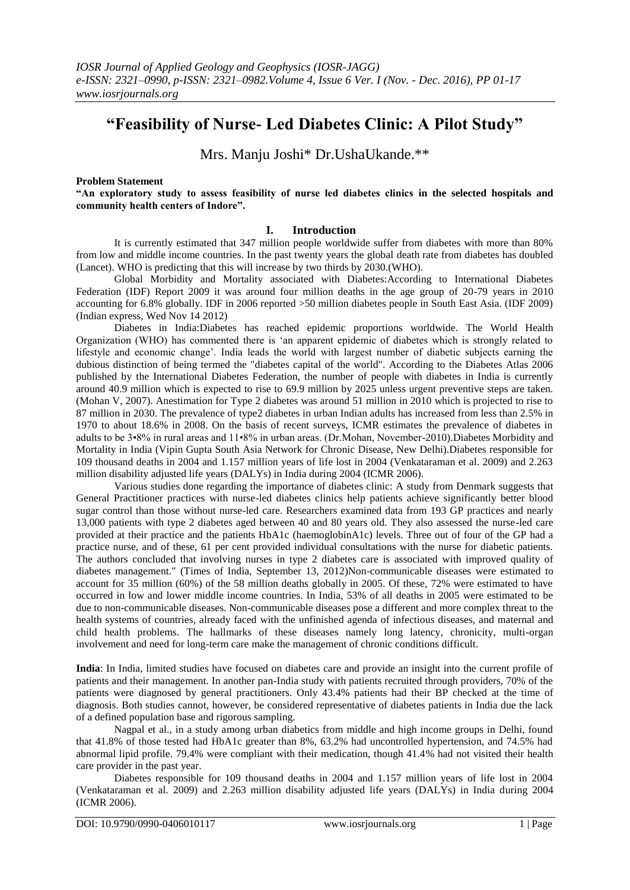# **"Feasibility of Nurse- Led Diabetes Clinic: A Pilot Study"**

Mrs. Manju Joshi\* Dr.UshaUkande.\*\*

### **Problem Statement**

**"An exploratory study to assess feasibility of nurse led diabetes clinics in the selected hospitals and community health centers of Indore".**

### **I. Introduction**

It is currently estimated that 347 million people worldwide suffer from diabetes with more than 80% from low and middle income countries. In the past twenty years the global death rate from diabetes has doubled (Lancet). WHO is predicting that this will increase by two thirds by 2030.(WHO).

Global Morbidity and Mortality associated with Diabetes:According to International Diabetes Federation (IDF) Report 2009 it was around four million deaths in the age group of 20-79 years in 2010 accounting for 6.8% globally. IDF in 2006 reported >50 million diabetes people in South East Asia. (IDF 2009) (Indian express, Wed Nov 14 2012)

Diabetes in India:Diabetes has reached epidemic proportions worldwide. The World Health Organization (WHO) has commented there is 'an apparent epidemic of diabetes which is strongly related to lifestyle and economic change'. India leads the world with largest number of diabetic subjects earning the dubious distinction of being termed the "diabetes capital of the world". According to the Diabetes Atlas 2006 published by the International Diabetes Federation, the number of people with diabetes in India is currently around 40.9 million which is expected to rise to 69.9 million by 2025 unless urgent preventive steps are taken. (Mohan V, 2007). Anestimation for Type 2 diabetes was around 51 million in 2010 which is projected to rise to 87 million in 2030. The prevalence of type2 diabetes in urban Indian adults has increased from less than 2.5% in 1970 to about 18.6% in 2008. On the basis of recent surveys, ICMR estimates the prevalence of diabetes in adults to be 3•8% in rural areas and 11•8% in urban areas. (Dr.Mohan, November-2010).Diabetes Morbidity and Mortality in India (Vipin Gupta South Asia Network for Chronic Disease, New Delhi).Diabetes responsible for 109 thousand deaths in 2004 and 1.157 million years of life lost in 2004 (Venkataraman et al. 2009) and 2.263 million disability adjusted life years (DALYs) in India during 2004 (ICMR 2006).

Various studies done regarding the importance of diabetes clinic: A study from Denmark suggests that General Practitioner practices with nurse-led diabetes clinics help patients achieve significantly better blood sugar control than those without nurse-led care. Researchers examined data from 193 GP practices and nearly 13,000 patients with type 2 diabetes aged between 40 and 80 years old. They also assessed the nurse-led care provided at their practice and the patients HbA1c (haemoglobinA1c) levels. Three out of four of the GP had a practice nurse, and of these, 61 per cent provided individual consultations with the nurse for diabetic patients. The authors concluded that involving nurses in type 2 diabetes care is associated with improved quality of diabetes management." (Times of India, September 13, 2012)Non-communicable diseases were estimated to account for 35 million (60%) of the 58 million deaths globally in 2005. Of these, 72% were estimated to have occurred in low and lower middle income countries. In India, 53% of all deaths in 2005 were estimated to be due to non-communicable diseases. Non-communicable diseases pose a different and more complex threat to the health systems of countries, already faced with the unfinished agenda of infectious diseases, and maternal and child health problems. The hallmarks of these diseases namely long latency, chronicity, multi-organ involvement and need for long-term care make the management of chronic conditions difficult.

**India**: In India, limited studies have focused on diabetes care and provide an insight into the current profile of patients and their management. In another pan-India study with patients recruited through providers, 70% of the patients were diagnosed by general practitioners. Only 43.4% patients had their BP checked at the time of diagnosis. Both studies cannot, however, be considered representative of diabetes patients in India due the lack of a defined population base and rigorous sampling.

Nagpal et al., in a study among urban diabetics from middle and high income groups in Delhi, found that 41.8% of those tested had HbA1c greater than 8%, 63.2% had uncontrolled hypertension, and 74.5% had abnormal lipid profile. 79.4% were compliant with their medication, though 41.4% had not visited their health care provider in the past year.

Diabetes responsible for 109 thousand deaths in 2004 and 1.157 million years of life lost in 2004 (Venkataraman et al. 2009) and 2.263 million disability adjusted life years (DALYs) in India during 2004 (ICMR 2006).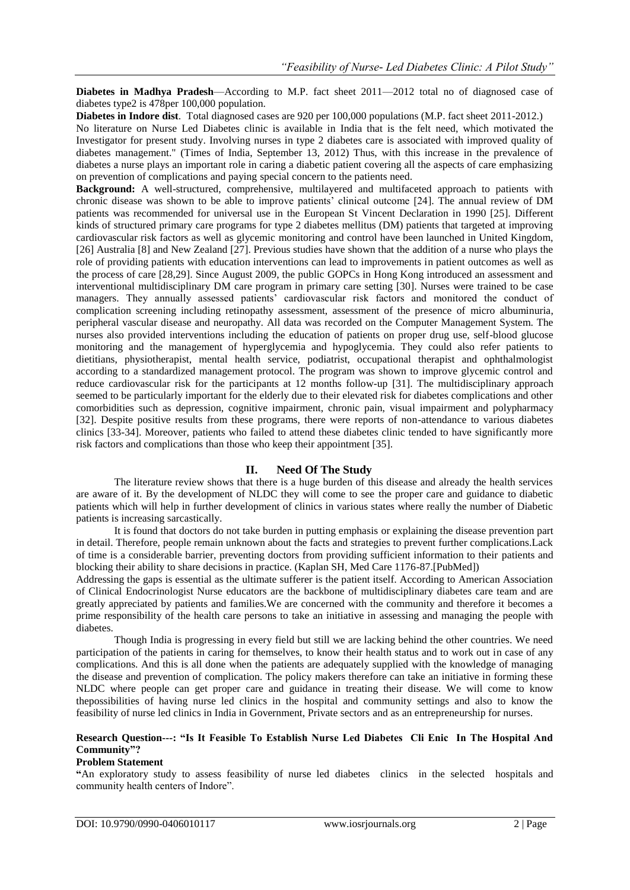**Diabetes in Madhya Pradesh**—According to M.P. fact sheet 2011—2012 total no of diagnosed case of diabetes type2 is 478per 100,000 population.

**Diabetes in Indore dist**. Total diagnosed cases are 920 per 100,000 populations (M.P. fact sheet 2011-2012.)

No literature on Nurse Led Diabetes clinic is available in India that is the felt need, which motivated the Investigator for present study. Involving nurses in type 2 diabetes care is associated with improved quality of diabetes management." (Times of India, September 13, 2012) Thus, with this increase in the prevalence of diabetes a nurse plays an important role in caring a diabetic patient covering all the aspects of care emphasizing on prevention of complications and paying special concern to the patients need.

**Background:** A well-structured, comprehensive, multilayered and multifaceted approach to patients with chronic disease was shown to be able to improve patients' clinical outcome [24]. The annual review of DM patients was recommended for universal use in the European St Vincent Declaration in 1990 [25]. Different kinds of structured primary care programs for type 2 diabetes mellitus (DM) patients that targeted at improving cardiovascular risk factors as well as glycemic monitoring and control have been launched in United Kingdom, [26] Australia [8] and New Zealand [27]. Previous studies have shown that the addition of a nurse who plays the role of providing patients with education interventions can lead to improvements in patient outcomes as well as the process of care [28,29]. Since August 2009, the public GOPCs in Hong Kong introduced an assessment and interventional multidisciplinary DM care program in primary care setting [30]. Nurses were trained to be case managers. They annually assessed patients' cardiovascular risk factors and monitored the conduct of complication screening including retinopathy assessment, assessment of the presence of micro albuminuria, peripheral vascular disease and neuropathy. All data was recorded on the Computer Management System. The nurses also provided interventions including the education of patients on proper drug use, self-blood glucose monitoring and the management of hyperglycemia and hypoglycemia. They could also refer patients to dietitians, physiotherapist, mental health service, podiatrist, occupational therapist and ophthalmologist according to a standardized management protocol. The program was shown to improve glycemic control and reduce cardiovascular risk for the participants at 12 months follow-up [31]. The multidisciplinary approach seemed to be particularly important for the elderly due to their elevated risk for diabetes complications and other comorbidities such as depression, cognitive impairment, chronic pain, visual impairment and polypharmacy [32]. Despite positive results from these programs, there were reports of non-attendance to various diabetes clinics [33-34]. Moreover, patients who failed to attend these diabetes clinic tended to have significantly more risk factors and complications than those who keep their appointment [35].

# **II. Need Of The Study**

The literature review shows that there is a huge burden of this disease and already the health services are aware of it. By the development of NLDC they will come to see the proper care and guidance to diabetic patients which will help in further development of clinics in various states where really the number of Diabetic patients is increasing sarcastically.

It is found that doctors do not take burden in putting emphasis or explaining the disease prevention part in detail. Therefore, people remain unknown about the facts and strategies to prevent further complications.Lack of time is a considerable barrier, preventing doctors from providing sufficient information to their patients and blocking their ability to share decisions in practice. (Kaplan SH, Med Care 1176-87.[PubMed])

Addressing the gaps is essential as the ultimate sufferer is the patient itself. According to American Association of Clinical Endocrinologist Nurse educators are the backbone of multidisciplinary diabetes care team and are greatly appreciated by patients and families.We are concerned with the community and therefore it becomes a prime responsibility of the health care persons to take an initiative in assessing and managing the people with diabetes.

Though India is progressing in every field but still we are lacking behind the other countries. We need participation of the patients in caring for themselves, to know their health status and to work out in case of any complications. And this is all done when the patients are adequately supplied with the knowledge of managing the disease and prevention of complication. The policy makers therefore can take an initiative in forming these NLDC where people can get proper care and guidance in treating their disease. We will come to know thepossibilities of having nurse led clinics in the hospital and community settings and also to know the feasibility of nurse led clinics in India in Government, Private sectors and as an entrepreneurship for nurses.

# **Research Question---: "Is It Feasible To Establish Nurse Led Diabetes Cli Enic In The Hospital And Community"?**

### **Problem Statement**

**"**An exploratory study to assess feasibility of nurse led diabetes clinics in the selected hospitals and community health centers of Indore".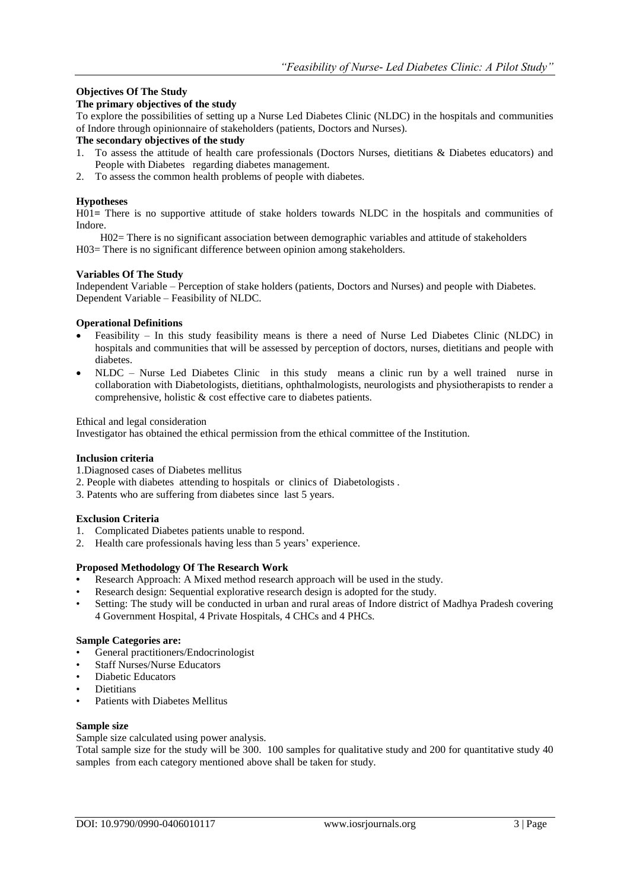# **Objectives Of The Study**

# **The primary objectives of the study**

To explore the possibilities of setting up a Nurse Led Diabetes Clinic (NLDC) in the hospitals and communities of Indore through opinionnaire of stakeholders (patients, Doctors and Nurses).

# **The secondary objectives of the study**

- 1. To assess the attitude of health care professionals (Doctors Nurses, dietitians & Diabetes educators) and People with Diabetes regarding diabetes management.
- 2. To assess the common health problems of people with diabetes.

# **Hypotheses**

H01**=** There is no supportive attitude of stake holders towards NLDC in the hospitals and communities of Indore.

 H02= There is no significant association between demographic variables and attitude of stakeholders H03= There is no significant difference between opinion among stakeholders.

# **Variables Of The Study**

Independent Variable – Perception of stake holders (patients, Doctors and Nurses) and people with Diabetes. Dependent Variable – Feasibility of NLDC.

# **Operational Definitions**

- Feasibility In this study feasibility means is there a need of Nurse Led Diabetes Clinic (NLDC) in hospitals and communities that will be assessed by perception of doctors, nurses, dietitians and people with diabetes.
- NLDC Nurse Led Diabetes Clinic in this study means a clinic run by a well trained nurse in collaboration with Diabetologists, dietitians, ophthalmologists, neurologists and physiotherapists to render a comprehensive, holistic & cost effective care to diabetes patients.

Ethical and legal consideration

Investigator has obtained the ethical permission from the ethical committee of the Institution.

### **Inclusion criteria**

1.Diagnosed cases of Diabetes mellitus

- 2. People with diabetes attending to hospitals or clinics of Diabetologists .
- 3. Patents who are suffering from diabetes since last 5 years.

# **Exclusion Criteria**

- 1. Complicated Diabetes patients unable to respond.
- 2. Health care professionals having less than 5 years' experience.

### **Proposed Methodology Of The Research Work**

- **•** Research Approach: A Mixed method research approach will be used in the study.
- Research design: Sequential explorative research design is adopted for the study.
- Setting: The study will be conducted in urban and rural areas of Indore district of Madhya Pradesh covering 4 Government Hospital, 4 Private Hospitals, 4 CHCs and 4 PHCs.

# **Sample Categories are:**

- General practitioners/Endocrinologist
- Staff Nurses/Nurse Educators
- Diabetic Educators
- **Dietitians**
- Patients with Diabetes Mellitus

### **Sample size**

Sample size calculated using power analysis.

Total sample size for the study will be 300. 100 samples for qualitative study and 200 for quantitative study 40 samples from each category mentioned above shall be taken for study.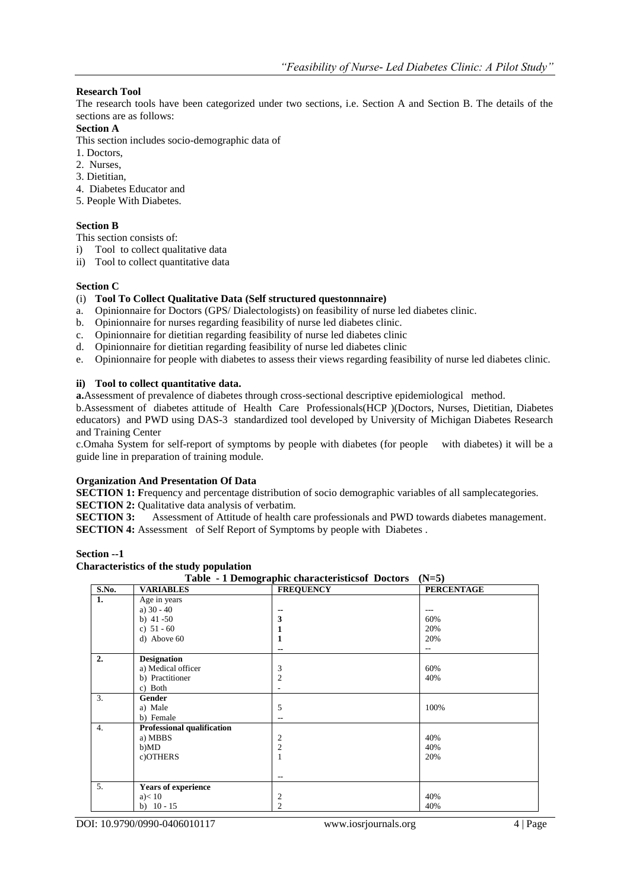# **Research Tool**

The research tools have been categorized under two sections, i.e. Section A and Section B. The details of the sections are as follows:

# **Section A**

This section includes socio-demographic data of

- 1. Doctors,
- 2. Nurses,
- 3. Dietitian,
- 4. Diabetes Educator and
- 5. People With Diabetes.

# **Section B**

This section consists of:

- i) Tool to collect qualitative data
- ii) Tool to collect quantitative data

# **Section C**

# (i) **Tool To Collect Qualitative Data (Self structured questonnnaire)**

- a. Opinionnaire for Doctors (GPS/ Dialectologists) on feasibility of nurse led diabetes clinic.
- b. Opinionnaire for nurses regarding feasibility of nurse led diabetes clinic.
- c. Opinionnaire for dietitian regarding feasibility of nurse led diabetes clinic
- d. Opinionnaire for dietitian regarding feasibility of nurse led diabetes clinic
- e. Opinionnaire for people with diabetes to assess their views regarding feasibility of nurse led diabetes clinic.

# **ii) Tool to collect quantitative data.**

**a.**Assessment of prevalence of diabetes through cross-sectional descriptive epidemiological method.

b.Assessment of diabetes attitude of Health Care Professionals(HCP )(Doctors, Nurses, Dietitian, Diabetes educators) and PWD using DAS-3 standardized tool developed by University of Michigan Diabetes Research and Training Center

c.Omaha System for self-report of symptoms by people with diabetes (for people with diabetes) it will be a guide line in preparation of training module.

# **Organization And Presentation Of Data**

**SECTION 1:** Frequency and percentage distribution of socio demographic variables of all samplecategories. **SECTION 2:** Qualitative data analysis of verbatim.

**SECTION 3:** Assessment of Attitude of health care professionals and PWD towards diabetes management. **SECTION 4:** Assessment of Self Report of Symptoms by people with Diabetes .

### **Section --1**

### **Characteristics of the study population**

**Table - 1 Demographic characteristicsof Doctors (N=5) S.No. VARIABLES FREQUENCY PERCENTAGE 1.** Age in years a)  $30 - 40$ b) 41 -50 c)  $51 - 60$ d) Above 60 **-- 3 1 1 --** --- 60% 20% 20% -- **2. Designation** a) Medical officer b) Practitioner c) Both 3 2 - 60% 40% 3. **Gender** a) Male b) Female 5 -- 100% 4. **Professional qualification** a) MBBS b)MD c)OTHERS 2 2 1 -- 40% 40% 20% 5. **Years of experience**  $a$  $< 10$ b) 10 - 15 2  $\overline{2}$ 40% 40%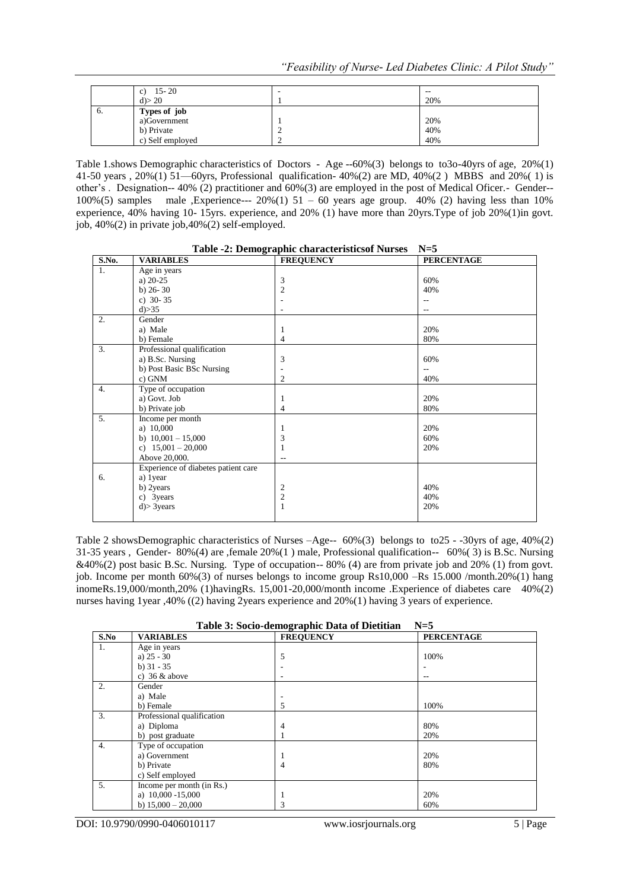|            | $15 - 20$<br>c)<br>$d$ > 20                                    | $- -$<br>20%      |
|------------|----------------------------------------------------------------|-------------------|
| $\sigma$ . | Types of job<br>a)Government<br>b) Private<br>c) Self employed | 20%<br>40%<br>40% |

Table 1.shows Demographic characteristics of Doctors - Age --60%(3) belongs to to3o-40yrs of age, 20%(1) 41-50 years , 20%(1) 51—60yrs, Professional qualification- 40%(2) are MD, 40%(2 ) MBBS and 20%( 1) is other's . Designation-- 40% (2) practitioner and 60%(3) are employed in the post of Medical Oficer.- Gender-- 100%(5) samples male ,Experience--- 20%(1)  $51 - 60$  years age group. 40% (2) having less than 10% experience, 40% having 10- 15yrs. experience, and 20% (1) have more than 20yrs.Type of job 20%(1)in govt. job, 40%(2) in private job,40%(2) self-employed.

|       | Table -2: Demographic characteristics of Nurses | $N=3$            |                   |
|-------|-------------------------------------------------|------------------|-------------------|
| S.No. | <b>VARIABLES</b>                                | <b>FREQUENCY</b> | <b>PERCENTAGE</b> |
| 1.    | Age in years                                    |                  |                   |
|       | a) $20-25$                                      | 3                | 60%               |
|       | b) $26 - 30$                                    | $\overline{c}$   | 40%               |
|       | c) $30 - 35$                                    |                  |                   |
|       | d) > 35                                         |                  |                   |
| 2.    | Gender                                          |                  |                   |
|       | a) Male                                         | 1                | 20%               |
|       | b) Female                                       | 4                | 80%               |
| 3.    | Professional qualification                      |                  |                   |
|       | a) B.Sc. Nursing                                | 3                | 60%               |
|       | b) Post Basic BSc Nursing                       |                  | $-$               |
|       | c) GNM                                          | 2                | 40%               |
| 4.    | Type of occupation                              |                  |                   |
|       | a) Govt. Job                                    | 1                | 20%               |
|       | b) Private job                                  | 4                | 80%               |
| 5.    | Income per month                                |                  |                   |
|       | a) 10,000                                       | 1                | 20%               |
|       | b) $10,001 - 15,000$                            | 3                | 60%               |
|       | c) $15,001 - 20,000$                            |                  | 20%               |
|       | Above 20,000.                                   |                  |                   |
|       | Experience of diabetes patient care             |                  |                   |
| 6.    | a) 1 year                                       |                  |                   |
|       | b) 2years                                       | 2                | 40%               |
|       | c) 3years                                       | $\overline{c}$   | 40%               |
|       | $d$ > 3 years                                   | 1                | 20%               |
|       |                                                 |                  |                   |

**Table -2: Demographic characteristicsof Nurses N=5**

Table 2 showsDemographic characteristics of Nurses –Age-- 60%(3) belongs to to25 - -30yrs of age, 40%(2) 31-35 years , Gender- 80%(4) are ,female 20%(1 ) male, Professional qualification-- 60%( 3) is B.Sc. Nursing &40%(2) post basic B.Sc. Nursing. Type of occupation-- 80% (4) are from private job and 20% (1) from govt. job. Income per month 60%(3) of nurses belongs to income group Rs10,000 –Rs 15.000 /month.20%(1) hang inomeRs.19,000/month,20% (1)havingRs. 15,001-20,000/month income .Experience of diabetes care  $40\%$ (2) nurses having 1year ,40% ((2) having 2years experience and 20%(1) having 3 years of experience.

| Table 3: Socio-demographic Data of Dietitian | $N=5$ |
|----------------------------------------------|-------|
|                                              |       |

| S.No | <b>VARIABLES</b>           | ັ່<br><b>FREQUENCY</b> | <b>PERCENTAGE</b> |
|------|----------------------------|------------------------|-------------------|
| 1.   | Age in years               |                        |                   |
|      | a) $25 - 30$               | 5                      | 100%              |
|      | b) $31 - 35$               |                        |                   |
|      | c) $36 \&$ above           |                        |                   |
| 2.   | Gender                     |                        |                   |
|      | a) Male                    |                        |                   |
|      | b) Female                  | 5                      | 100%              |
| 3.   | Professional qualification |                        |                   |
|      | a) Diploma                 | 4                      | 80%               |
|      | b) post graduate           |                        | 20%               |
| 4.   | Type of occupation         |                        |                   |
|      | a) Government              |                        | 20%               |
|      | b) Private                 | 4                      | 80%               |
|      | c) Self employed           |                        |                   |
| 5.   | Income per month (in Rs.)  |                        |                   |
|      | a) $10,000 - 15,000$       |                        | 20%               |
|      | b) $15,000 - 20,000$       | 3                      | 60%               |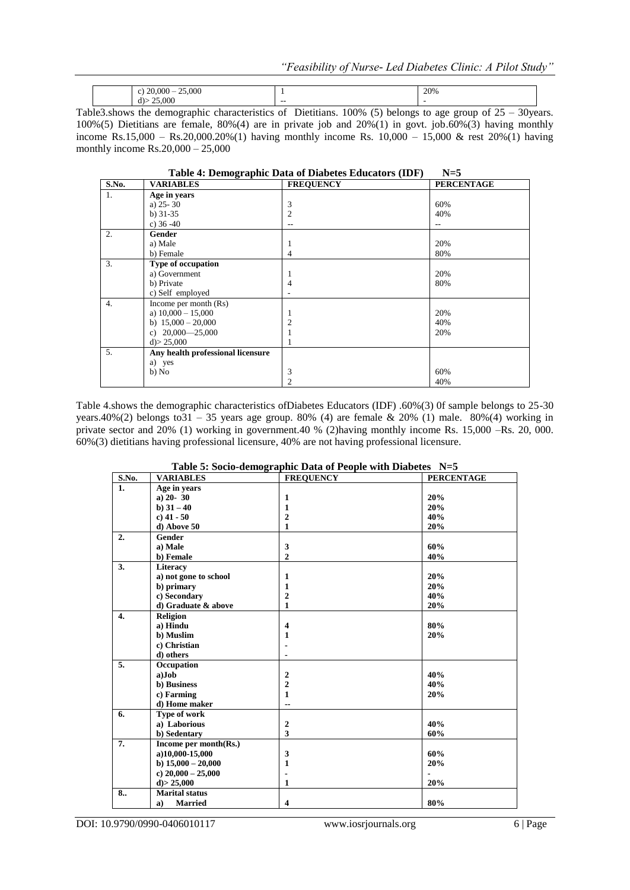| 25,000<br>$\sim$<br>. .<br>ZUJUU |     | 20% |
|----------------------------------|-----|-----|
| 25,000<br>d                      | --- | . . |

Table3.shows the demographic characteristics of Dietitians. 100% (5) belongs to age group of  $25 - 30$ years. 100%(5) Dietitians are female, 80%(4) are in private job and  $20\%$ (1) in govt. job.60%(3) having monthly income Rs.15,000 – Rs.20,000.20%(1) having monthly income Rs.  $10,000 - 15,000$  & rest  $20\%$ (1) having monthly income Rs.20,000 – 25,000

|       |                                   | Table 4: Demographic Data of Diabetes Educators (IDF) | $N=5$             |
|-------|-----------------------------------|-------------------------------------------------------|-------------------|
| S.No. | <b>VARIABLES</b>                  | <b>FREQUENCY</b>                                      | <b>PERCENTAGE</b> |
| 1.    | Age in years                      |                                                       |                   |
|       | a) $25 - 30$                      | 3                                                     | 60%               |
|       | b) $31-35$                        | 2                                                     | 40%               |
|       | c) $36 - 40$                      |                                                       | $-$               |
| 2.    | Gender                            |                                                       |                   |
|       | a) Male                           |                                                       | 20%               |
|       | b) Female                         | 4                                                     | 80%               |
| 3.    | Type of occupation                |                                                       |                   |
|       | a) Government                     |                                                       | 20%               |
|       | b) Private                        | 4                                                     | 80%               |
|       | c) Self employed                  |                                                       |                   |
| 4.    | Income per month $(Rs)$           |                                                       |                   |
|       | a) $10,000 - 15,000$              |                                                       | 20%               |
|       | b) $15,000 - 20,000$              |                                                       | 40%               |
|       | c) $20,000 - 25,000$              |                                                       | 20%               |
|       | $d$ > 25,000                      |                                                       |                   |
| 5.    | Any health professional licensure |                                                       |                   |
|       | a) yes                            |                                                       |                   |
|       | b) No                             | 3                                                     | 60%               |
|       |                                   | 2                                                     | 40%               |

Table 4.shows the demographic characteristics ofDiabetes Educators (IDF) .60%(3) 0f sample belongs to 25-30 years.40%(2) belongs to  $31 - 35$  years age group. 80% (4) are female & 20% (1) male. 80%(4) working in private sector and 20% (1) working in government.40 % (2)having monthly income Rs. 15,000 –Rs. 20, 000. 60%(3) dietitians having professional licensure, 40% are not having professional licensure.

|                  |                       | Lable 5: Socio-defined applied Data of Febric with Diabetes $15-3$ |                   |
|------------------|-----------------------|--------------------------------------------------------------------|-------------------|
| S.No.            | <b>VARIABLES</b>      | <b>FREQUENCY</b>                                                   | <b>PERCENTAGE</b> |
| 1.               | Age in years          |                                                                    |                   |
|                  | $a) 20 - 30$          | $\mathbf{1}$                                                       | 20%               |
|                  | b) $31 - 40$          | $\mathbf{1}$                                                       | 20%               |
|                  | $c)$ 41 - 50          | $\mathbf{2}$                                                       | 40%               |
|                  | d) Above 50           | $\mathbf{1}$                                                       | 20%               |
| 2.               | Gender                |                                                                    |                   |
|                  | a) Male               | 3                                                                  | 60%               |
|                  | b) Female             | $\overline{2}$                                                     | 40%               |
| 3.               | Literacy              |                                                                    |                   |
|                  | a) not gone to school | $\mathbf{1}$                                                       | 20%               |
|                  | b) primary            | 1                                                                  | 20%               |
|                  | c) Secondary          | $\mathbf{2}$                                                       | 40%               |
|                  | d) Graduate & above   | $\mathbf{1}$                                                       | 20%               |
| $\overline{4}$ . | <b>Religion</b>       |                                                                    |                   |
|                  | a) Hindu              | $\overline{\mathbf{4}}$                                            | 80%               |
|                  | b) Muslim             | 1                                                                  | 20%               |
|                  | c) Christian          |                                                                    |                   |
|                  | d) others             |                                                                    |                   |
| 5.               | Occupation            |                                                                    |                   |
|                  | a)Job                 | $\boldsymbol{2}$                                                   | 40%               |
|                  | b) Business           | $\mathbf{2}$                                                       | 40%               |
|                  | c) Farming            | $\mathbf{1}$                                                       | 20%               |
|                  | d) Home maker         | --                                                                 |                   |
| 6.               | Type of work          |                                                                    |                   |
|                  | a) Laborious          | $\boldsymbol{2}$                                                   | 40%               |
|                  | b) Sedentary          | 3                                                                  | 60%               |
| 7.               | Income per month(Rs.) |                                                                    |                   |
|                  | a)10,000-15,000       | 3                                                                  | 60%               |
|                  | b) $15,000 - 20,000$  | $\mathbf{1}$                                                       | 20%               |
|                  | c) $20,000 - 25,000$  |                                                                    |                   |
|                  | $d$ ) > 25,000        | 1                                                                  | 20%               |
| 8                | <b>Marital</b> status |                                                                    |                   |
|                  | <b>Married</b><br>a)  | $\overline{\mathbf{4}}$                                            | 80%               |

**Table 5: Socio-demographic Data of People with Diabetes N=5**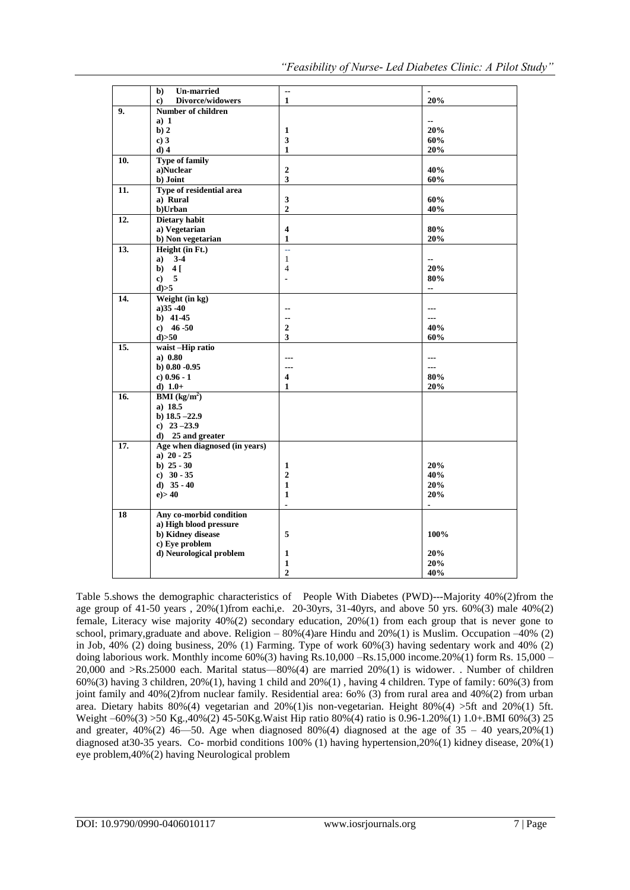|                | <b>Un-married</b><br>b)             | $\overline{\phantom{a}}$ |                              |
|----------------|-------------------------------------|--------------------------|------------------------------|
|                | Divorce/widowers<br>c)              | $\mathbf{1}$             | 20%                          |
| 9 <sub>1</sub> | <b>Number of children</b>           |                          |                              |
|                | a) 1                                |                          | --                           |
|                | b) 2                                | $\mathbf{1}$             | 20%                          |
|                | c)3                                 | 3                        | 60%                          |
|                | $d)$ 4                              | $\mathbf{1}$             | 20%                          |
| 10.            | <b>Type of family</b>               |                          |                              |
|                | a)Nuclear                           | $\boldsymbol{2}$         | 40%                          |
|                | b) Joint                            | 3                        | 60%                          |
| 11.            | Type of residential area            |                          |                              |
|                | a) Rural                            | 3                        | 60%                          |
|                | b)Urban                             | $\overline{2}$           | 40%                          |
| 12.            | <b>Dietary habit</b>                |                          |                              |
|                | a) Vegetarian                       | $\overline{\mathbf{4}}$  | 80%                          |
|                | b) Non vegetarian                   | $\mathbf{1}$             | 20%                          |
| 13.            | Height (in Ft.)                     | u.                       |                              |
|                | $a) 3-4$                            | $\mathbf{1}$             | $\qquad \qquad \blacksquare$ |
|                | b) $4$ [                            | $\overline{4}$           | 20%                          |
|                | c) 5                                | $\blacksquare$           | 80%                          |
|                | $d$ $>5$                            |                          | $-$                          |
| 14.            | Weight (in kg)                      |                          |                              |
|                | $a)35 - 40$                         | $\overline{\phantom{a}}$ | ---                          |
|                | $b)$ 41-45                          | $\overline{\phantom{a}}$ | ---                          |
|                | c) $46 - 50$                        | $\overline{2}$           | 40%                          |
|                | $d$ $>50$                           | 3                        | 60%                          |
| 15.            | waist-Hip ratio                     |                          |                              |
|                | a) 0.80                             | $---$                    | ---                          |
|                | $b)$ 0.80 -0.95                     | ---                      | ---                          |
|                | c) $0.96 - 1$                       | 4                        | 80%                          |
|                | d) $1.0+$                           | 1                        | 20%                          |
| 16.            | $\mathbf{BMI}$ (kg/m <sup>2</sup> ) |                          |                              |
|                | a) 18.5                             |                          |                              |
|                | b) $18.5 - 22.9$                    |                          |                              |
|                | c) $23 - 23.9$                      |                          |                              |
|                | d) 25 and greater                   |                          |                              |
| 17.            | Age when diagnosed (in years)       |                          |                              |
|                | a) $20 - 25$                        |                          |                              |
|                | b) $25 - 30$                        | $\mathbf{1}$             | 20%                          |
|                | c) $30 - 35$                        | $\overline{2}$           | 40%                          |
|                | d) $35 - 40$                        | $\mathbf{1}$             | 20%                          |
|                | e) > 40                             | $\mathbf{1}$             | 20%                          |
|                |                                     | $\overline{a}$           |                              |
| 18             | Any co-morbid condition             |                          |                              |
|                | a) High blood pressure              |                          |                              |
|                | b) Kidney disease                   | 5                        | 100%                         |
|                | c) Eye problem                      |                          |                              |
|                | d) Neurological problem             | 1                        | 20%                          |
|                |                                     | $\mathbf{1}$             | 20%                          |
|                |                                     | $\overline{2}$           | 40%                          |

Table 5.shows the demographic characteristics of People With Diabetes (PWD)---Majority 40%(2)from the age group of 41-50 years ,  $20\%$  (1)from eachi,e. 20-30yrs, 31-40yrs, and above 50 yrs. 60%(3) male 40%(2) female, Literacy wise majority 40%(2) secondary education, 20%(1) from each group that is never gone to school, primary, graduate and above. Religion –  $80\%(4)$  are Hindu and  $20\%(1)$  is Muslim. Occupation – $40\%$  (2) in Job, 40% (2) doing business, 20% (1) Farming. Type of work 60%(3) having sedentary work and 40% (2) doing laborious work. Monthly income 60%(3) having Rs.10,000 –Rs.15,000 income.20%(1) form Rs. 15,000 – 20,000 and >Rs.25000 each. Marital status—80%(4) are married 20%(1) is widower. . Number of children  $60\%$ (3) having 3 children,  $20\%$ (1), having 1 child and  $20\%$ (1), having 4 children. Type of family:  $60\%$ (3) from joint family and 40%(2)from nuclear family. Residential area: 6o% (3) from rural area and 40%(2) from urban area. Dietary habits  $80\%(4)$  vegetarian and  $20\%(1)$  is non-vegetarian. Height  $80\%(4) > 5$ ft and  $20\%(1)$  5ft. Weight –60%(3) >50 Kg.,40%(2) 45-50Kg.Waist Hip ratio 80%(4) ratio is 0.96-1.20%(1) 1.0+.BMI 60%(3) 25 and greater,  $40\%(2)$  46-50. Age when diagnosed 80%(4) diagnosed at the age of  $35 - 40$  years,  $20\%(1)$ diagnosed at30-35 years. Co- morbid conditions 100% (1) having hypertension,20%(1) kidney disease, 20%(1) eye problem,40%(2) having Neurological problem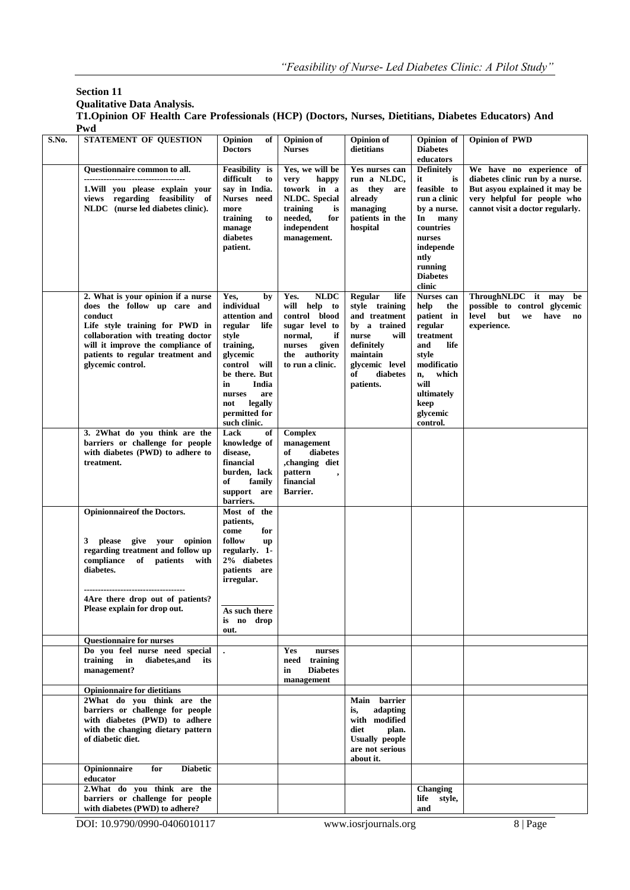# **Section 11**

**Qualitative Data Analysis.**

**T1.Opinion OF Health Care Professionals (HCP) (Doctors, Nurses, Dietitians, Diabetes Educators) And Pwd**

| S.No. | STATEMENT OF QUESTION                                                                                                                                                                                                                               | Opinion<br>of<br><b>Doctors</b>                                                                                                                                                                                    | <b>Opinion of</b><br><b>Nurses</b>                                                                                                              | <b>Opinion</b> of<br>dietitians                                                                                                                                | Opinion of<br><b>Diabetes</b><br>educators                                                                                                                                    | <b>Opinion of PWD</b>                                                                                                                                           |
|-------|-----------------------------------------------------------------------------------------------------------------------------------------------------------------------------------------------------------------------------------------------------|--------------------------------------------------------------------------------------------------------------------------------------------------------------------------------------------------------------------|-------------------------------------------------------------------------------------------------------------------------------------------------|----------------------------------------------------------------------------------------------------------------------------------------------------------------|-------------------------------------------------------------------------------------------------------------------------------------------------------------------------------|-----------------------------------------------------------------------------------------------------------------------------------------------------------------|
|       | Questionnaire common to all.<br>------------------------------------<br>1. Will you please explain your<br>views regarding feasibility of<br>NLDC (nurse led diabetes clinic).                                                                      | Feasibility is<br>difficult<br>to<br>say in India.<br>Nurses need<br>more<br>training<br>to<br>manage<br>diabetes<br>patient.                                                                                      | Yes, we will be<br>very<br>happy<br>towork in a<br><b>NLDC.</b> Special<br>training<br>is<br>needed,<br>for<br>independent<br>management.       | Yes nurses can<br>run a NLDC,<br>as they<br>are<br>already<br>managing<br>patients in the<br>hospital                                                          | <b>Definitely</b><br>it<br>is<br>feasible to<br>run a clinic<br>by a nurse.<br>In<br>many<br>countries<br>nurses<br>independe<br>ntly<br>running<br><b>Diabetes</b><br>clinic | We have no experience of<br>diabetes clinic run by a nurse.<br>But asyou explained it may be<br>very helpful for people who<br>cannot visit a doctor regularly. |
|       | 2. What is your opinion if a nurse<br>does the follow up care and<br>conduct<br>Life style training for PWD in<br>collaboration with treating doctor<br>will it improve the compliance of<br>patients to regular treatment and<br>glycemic control. | Yes,<br>by<br>individual<br>attention and<br>regular<br>life<br>style<br>training,<br>glycemic<br>control will<br>be there. But<br>in<br>India<br>nurses<br>are<br>legally<br>not<br>permitted for<br>such clinic. | <b>NLDC</b><br>Yes.<br>will help to<br>control blood<br>sugar level to<br>normal,<br>if<br>nurses<br>given<br>the authority<br>to run a clinic. | Regular<br>life<br>style training<br>and treatment<br>by a trained<br>will<br>nurse<br>definitely<br>maintain<br>glycemic level<br>of<br>diabetes<br>patients. | Nurses can<br>help<br>the<br>patient in<br>regular<br>treatment<br>and<br>life<br>style<br>modificatio<br>which<br>n,<br>will<br>ultimately<br>keep<br>glycemic<br>control.   | ThroughNLDC it may<br>be<br>possible to control glycemic<br>level<br>but<br>we<br>have<br>$\mathbf{n}\mathbf{o}$<br>experience.                                 |
|       | 3. 2What do you think are the<br>barriers or challenge for people<br>with diabetes (PWD) to adhere to<br>treatment.                                                                                                                                 | Lack<br>of<br>knowledge of<br>disease,<br>financial<br>burden, lack<br>of<br>family<br>support are<br>barriers.                                                                                                    | <b>Complex</b><br>management<br>diabetes<br>of<br>,changing diet<br>pattern<br>$\overline{\phantom{a}}$<br>financial<br>Barrier.                |                                                                                                                                                                |                                                                                                                                                                               |                                                                                                                                                                 |
|       | <b>Opinionnaireof the Doctors.</b><br>give your opinion<br>3 please<br>regarding treatment and follow up<br>compliance<br>of patients with<br>diabetes.<br>4Are there drop out of patients?<br>Please explain for drop out.                         | Most of the<br>patients,<br>come<br>for<br>follow<br>up<br>regularly. 1-<br>2% diabetes<br>patients are<br>irregular.<br>As such there<br>is no drop<br>out.                                                       |                                                                                                                                                 |                                                                                                                                                                |                                                                                                                                                                               |                                                                                                                                                                 |
|       | <b>Questionnaire for nurses</b>                                                                                                                                                                                                                     |                                                                                                                                                                                                                    |                                                                                                                                                 |                                                                                                                                                                |                                                                                                                                                                               |                                                                                                                                                                 |
|       | Do you feel nurse need special<br>training<br>in<br>diabetes, and<br>its<br>management?                                                                                                                                                             | $\bullet$                                                                                                                                                                                                          | <b>Yes</b><br>nurses<br>need training<br><b>Diabetes</b><br>in<br>management                                                                    |                                                                                                                                                                |                                                                                                                                                                               |                                                                                                                                                                 |
|       | <b>Opinionnaire for dietitians</b>                                                                                                                                                                                                                  |                                                                                                                                                                                                                    |                                                                                                                                                 |                                                                                                                                                                |                                                                                                                                                                               |                                                                                                                                                                 |
|       | 2What do you think are the<br>barriers or challenge for people<br>with diabetes (PWD) to adhere<br>with the changing dietary pattern<br>of diabetic diet.                                                                                           |                                                                                                                                                                                                                    |                                                                                                                                                 | Main barrier<br>adapting<br>is,<br>with modified<br>diet<br>plan.<br><b>Usually people</b><br>are not serious<br>about it.                                     |                                                                                                                                                                               |                                                                                                                                                                 |
|       | Opinionnaire<br>for<br><b>Diabetic</b><br>educator                                                                                                                                                                                                  |                                                                                                                                                                                                                    |                                                                                                                                                 |                                                                                                                                                                |                                                                                                                                                                               |                                                                                                                                                                 |
|       | 2. What do you think are the<br>barriers or challenge for people<br>with diabetes (PWD) to adhere?                                                                                                                                                  |                                                                                                                                                                                                                    |                                                                                                                                                 |                                                                                                                                                                | Changing<br>life style,<br>and                                                                                                                                                |                                                                                                                                                                 |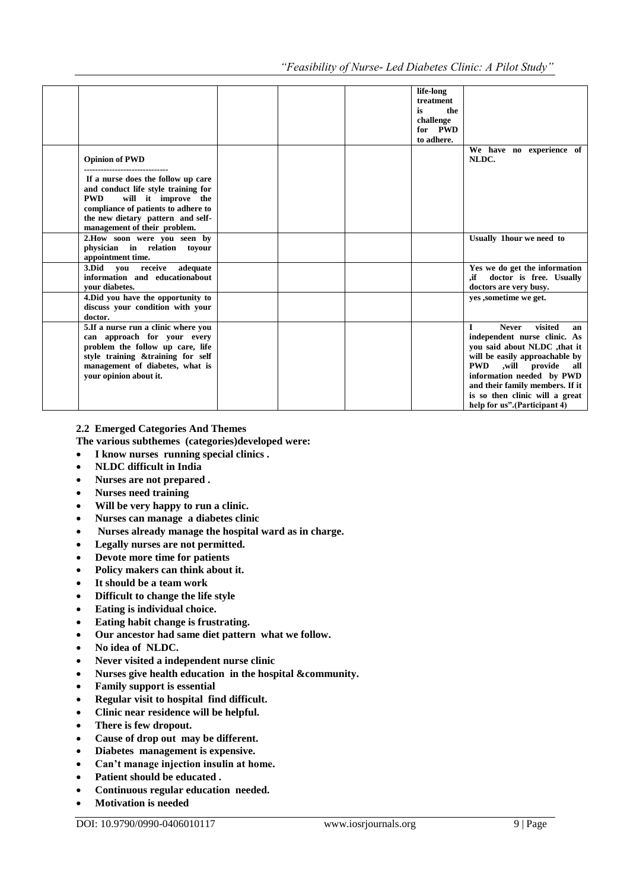|                                      |  | life-long  |                                    |
|--------------------------------------|--|------------|------------------------------------|
|                                      |  | treatment  |                                    |
|                                      |  | the<br>is  |                                    |
|                                      |  | challenge  |                                    |
|                                      |  | for PWD    |                                    |
|                                      |  | to adhere. |                                    |
|                                      |  |            | We have no experience of           |
| <b>Opinion of PWD</b>                |  |            | NLDC.                              |
| --------------------------------     |  |            |                                    |
| If a nurse does the follow up care   |  |            |                                    |
| and conduct life style training for  |  |            |                                    |
| <b>PWD</b><br>will it improve the    |  |            |                                    |
| compliance of patients to adhere to  |  |            |                                    |
| the new dietary pattern and self-    |  |            |                                    |
| management of their problem.         |  |            |                                    |
| 2. How soon were you seen by         |  |            | Usually 1hour we need to           |
| physician in relation toyour         |  |            |                                    |
| appointment time.                    |  |            |                                    |
| 3. Did vou receive<br>adequate       |  |            | Yes we do get the information      |
| information and educationabout       |  |            | ,if doctor is free. Usually        |
| vour diabetes.                       |  |            | doctors are very busy.             |
| 4. Did you have the opportunity to   |  |            | ves , sometime we get.             |
| discuss your condition with your     |  |            |                                    |
| doctor.                              |  |            |                                    |
| 5. If a nurse run a clinic where you |  |            | visited<br><b>Never</b><br>L<br>an |
| can approach for your every          |  |            | independent nurse clinic. As       |
| problem the follow up care, life     |  |            | you said about NLDC , that it      |
| style training & training for self   |  |            | will be easily approachable by     |
| management of diabetes, what is      |  |            | PWD ,will provide<br>all           |
| vour opinion about it.               |  |            | information needed by PWD          |
|                                      |  |            | and their family members. If it    |
|                                      |  |            | is so then clinic will a great     |
|                                      |  |            | help for us".(Participant 4)       |
|                                      |  |            |                                    |

**2.2 Emerged Categories And Themes**

- **The various subthemes (categories)developed were:**
- **I know nurses running special clinics .**
- **NLDC difficult in India**
- **Nurses are not prepared .**
- **Nurses need training**
- **Will be very happy to run a clinic.**
- **Nurses can manage a diabetes clinic**
- **Nurses already manage the hospital ward as in charge.**
- **Legally nurses are not permitted.**
- **Devote more time for patients**
- **Policy makers can think about it.**
- **It should be a team work**
- **Difficult to change the life style**
- **Eating is individual choice.**
- **Eating habit change is frustrating.**
- **Our ancestor had same diet pattern what we follow.**
- **No idea of NLDC.**
- **Never visited a independent nurse clinic**
- **Nurses give health education in the hospital &community.**
- **Family support is essential**
- **Regular visit to hospital find difficult.**
- **Clinic near residence will be helpful.**
- **There is few dropout.**
- **Cause of drop out may be different.**
- **Diabetes management is expensive.**
- **Can't manage injection insulin at home.**
- **Patient should be educated .**
- **Continuous regular education needed.**
- **Motivation is needed**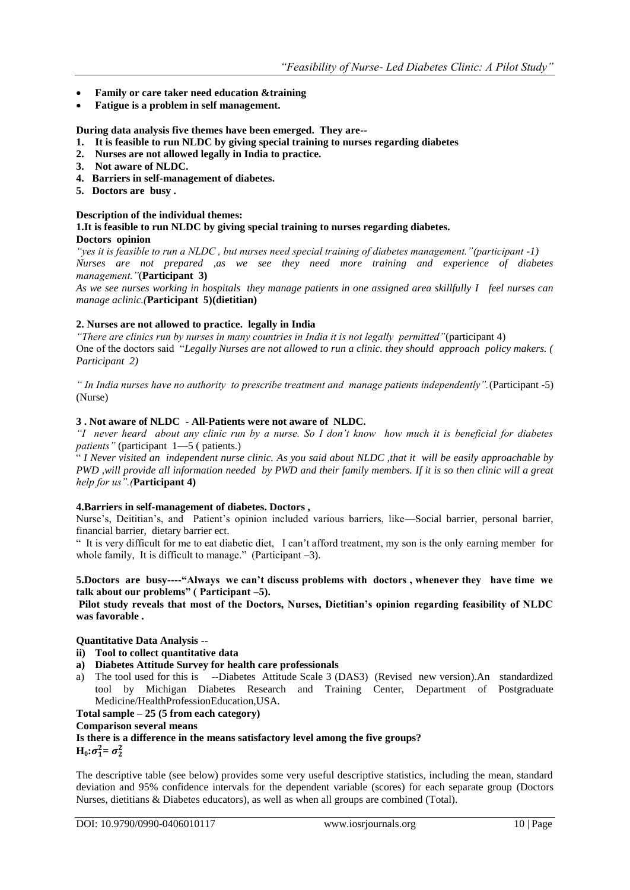- **Family or care taker need education &training**
- **Fatigue is a problem in self management.**

**During data analysis five themes have been emerged. They are--**

- **1. It is feasible to run NLDC by giving special training to nurses regarding diabetes**
- **2. Nurses are not allowed legally in India to practice.**
- **3. Not aware of NLDC.**
- **4. Barriers in self-management of diabetes.**
- **5. Doctors are busy .**

### **Description of the individual themes:**

**1.It is feasible to run NLDC by giving special training to nurses regarding diabetes. Doctors opinion**

*"yes it is feasible to run a NLDC , but nurses need special training of diabetes management."(participant -1) Nurses are not prepared ,as we see they need more training and experience of diabetes management."*(**Participant 3)** 

*As we see nurses working in hospitals they manage patients in one assigned area skillfully I feel nurses can manage aclinic.(***Participant 5)(dietitian)**

# **2. Nurses are not allowed to practice. legally in India**

*"There are clinics run by nurses in many countries in India it is not legally permitted"*(participant 4) One of the doctors said "Legally Nurses are not allowed to run a clinic. they should approach policy makers. ( *Participant 2)*

*" In India nurses have no authority to prescribe treatment and manage patients independently".*(Participant -5) (Nurse)

# **3 . Not aware of NLDC - All-Patients were not aware of NLDC.**

*"I never heard about any clinic run by a nurse. So I don't know how much it is beneficial for diabetes patients"* (participant 1—5 ( patients.)

― *I Never visited an independent nurse clinic. As you said about NLDC ,that it will be easily approachable by PWD ,will provide all information needed by PWD and their family members. If it is so then clinic will a great help for us".(***Participant 4)**

### **4.Barriers in self-management of diabetes. Doctors ,**

Nurse's, Deititian's, and Patient's opinion included various barriers, like—Social barrier, personal barrier, financial barrier, dietary barrier ect.

― It is very difficult for me to eat diabetic diet, I can't afford treatment, my son is the only earning member for whole family, It is difficult to manage." (Participant  $-3$ ).

### **5.Doctors are busy----"Always we can't discuss problems with doctors , whenever they have time we talk about our problems" ( Participant –5).**

**Pilot study reveals that most of the Doctors, Nurses, Dietitian's opinion regarding feasibility of NLDC was favorable .**

### **Quantitative Data Analysis --**

## **ii) Tool to collect quantitative data**

- **a) Diabetes Attitude Survey for health care professionals**
- a) The tool used for this is --Diabetes Attitude Scale 3 (DAS3) (Revised new version).An standardized tool by Michigan Diabetes Research and Training Center, Department of Postgraduate Medicine/HealthProfessionEducation,USA.

# **Total sample – 25 (5 from each category)**

### **Comparison several means**

**Is there is a difference in the means satisfactory level among the five groups?**  $H_0$ **:**  $\sigma_1^2 = \sigma_2^2$ 

The descriptive table (see below) provides some very useful descriptive statistics, including the mean, standard deviation and 95% confidence intervals for the dependent variable (scores) for each separate group (Doctors Nurses, dietitians & Diabetes educators), as well as when all groups are combined (Total).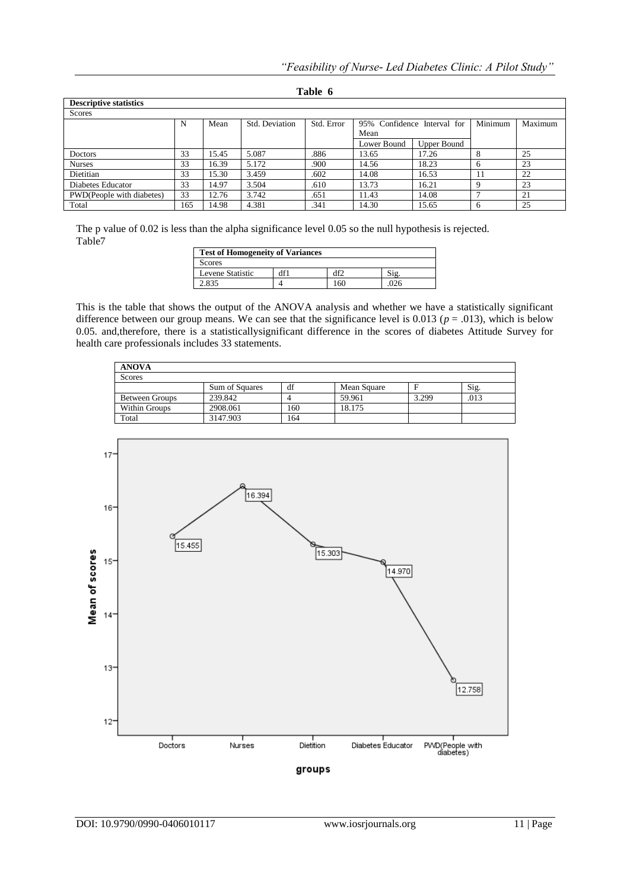| <b>Descriptive statistics</b> |     |       |                |            |                             |             |         |         |
|-------------------------------|-----|-------|----------------|------------|-----------------------------|-------------|---------|---------|
| Scores                        |     |       |                |            |                             |             |         |         |
|                               | N   | Mean  | Std. Deviation | Std. Error | 95% Confidence Interval for |             | Minimum | Maximum |
|                               |     |       |                |            | Mean                        |             |         |         |
|                               |     |       |                |            | Lower Bound                 | Upper Bound |         |         |
| Doctors                       | 33  | 15.45 | 5.087          | .886       | 13.65                       | 17.26       |         | 25      |
| <b>Nurses</b>                 | 33  | 16.39 | 5.172          | .900       | 14.56                       | 18.23       | 6       | 23      |
| Dietitian                     | 33  | 15.30 | 3.459          | .602       | 14.08                       | 16.53       |         | 22      |
| Diabetes Educator             | 33  | 14.97 | 3.504          | .610       | 13.73                       | 16.21       |         | 23      |
| PWD(People with diabetes)     | 33  | 12.76 | 3.742          | .651       | 11.43                       | 14.08       | -       | 21      |
| Total                         | 165 | 14.98 | 4.381          | .341       | 14.30                       | 15.65       | -6      | 25      |

**Table 6**

The p value of 0.02 is less than the alpha significance level 0.05 so the null hypothesis is rejected. Table7

| <b>Test of Homogeneity of Variances</b> |     |    |  |  |  |
|-----------------------------------------|-----|----|--|--|--|
| <b>Scores</b>                           |     |    |  |  |  |
| Levene Statistic                        | df1 | ١f |  |  |  |
| 2.835                                   |     | 60 |  |  |  |

This is the table that shows the output of the ANOVA analysis and whether we have a statistically significant difference between our group means. We can see that the significance level is  $0.013$  ( $p = .013$ ), which is below 0.05. and,therefore, there is a statisticallysignificant difference in the scores of diabetes Attitude Survey for health care professionals includes 33 statements.

| <b>ANOVA</b>          |                |     |             |       |      |  |  |  |  |
|-----------------------|----------------|-----|-------------|-------|------|--|--|--|--|
| <b>Scores</b>         |                |     |             |       |      |  |  |  |  |
|                       | Sum of Squares | df  | Mean Square |       | Sig. |  |  |  |  |
| <b>Between Groups</b> | 239.842        |     | 59.961      | 3.299 | .013 |  |  |  |  |
| Within Groups         | 2908.061       | 160 | 18.175      |       |      |  |  |  |  |
| Total                 | 3147.903       | 164 |             |       |      |  |  |  |  |

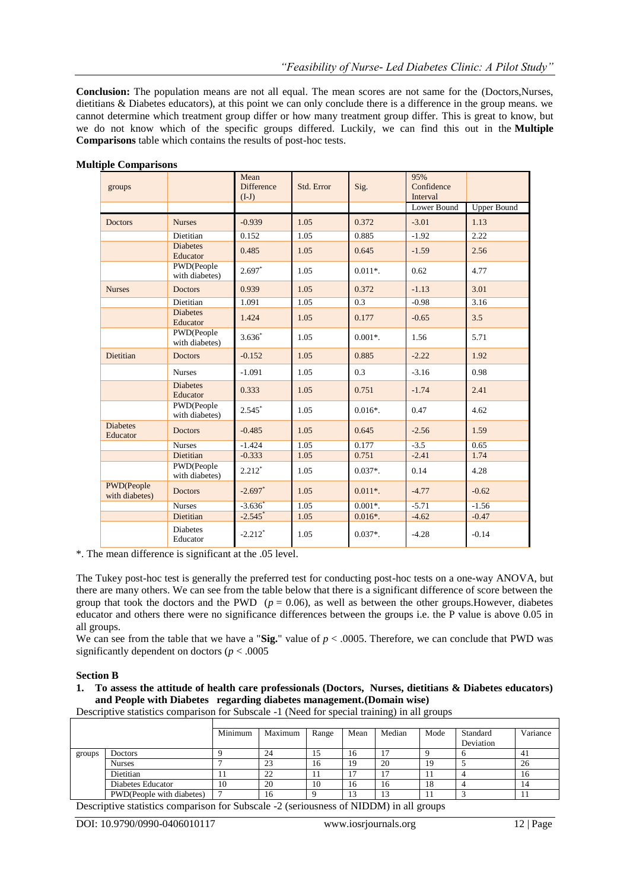**Conclusion:** The population means are not all equal. The mean scores are not same for the (Doctors,Nurses, dietitians & Diabetes educators), at this point we can only conclude there is a difference in the group means. we cannot determine which treatment group differ or how many treatment group differ. This is great to know, but we do not know which of the specific groups differed. Luckily, we can find this out in the **Multiple Comparisons** table which contains the results of post-hoc tests.

| groups                       |                              | Mean<br><b>Difference</b><br>$(I-J)$ | Std. Error | Sig.       | 95%<br>Confidence<br>Interval |                    |
|------------------------------|------------------------------|--------------------------------------|------------|------------|-------------------------------|--------------------|
|                              |                              |                                      |            |            | Lower Bound                   | <b>Upper Bound</b> |
| <b>Doctors</b>               | <b>Nurses</b>                | $-0.939$                             | 1.05       | 0.372      | $-3.01$                       | 1.13               |
|                              | Dietitian                    | 0.152                                | 1.05       | 0.885      | $-1.92$                       | 2.22               |
|                              | <b>Diabetes</b><br>Educator  | 0.485                                | 1.05       | 0.645      | $-1.59$                       | 2.56               |
|                              | PWD(People<br>with diabetes) | $2.697*$                             | 1.05       | $0.011*$ . | 0.62                          | 4.77               |
| <b>Nurses</b>                | <b>Doctors</b>               | 0.939                                | 1.05       | 0.372      | $-1.13$                       | 3.01               |
|                              | Dietitian                    | 1.091                                | 1.05       | 0.3        | $-0.98$                       | 3.16               |
|                              | <b>Diabetes</b><br>Educator  | 1.424                                | 1.05       | 0.177      | $-0.65$                       | 3.5                |
|                              | PWD(People<br>with diabetes) | $3.636*$                             | 1.05       | $0.001*$ . | 1.56                          | 5.71               |
| Dietitian                    | <b>Doctors</b>               | $-0.152$                             | 1.05       | 0.885      | $-2.22$                       | 1.92               |
|                              | <b>Nurses</b>                | $-1.091$                             | 1.05       | 0.3        | $-3.16$                       | 0.98               |
|                              | <b>Diabetes</b><br>Educator  | 0.333                                | 1.05       | 0.751      | $-1.74$                       | 2.41               |
|                              | PWD(People<br>with diabetes) | $2.545*$                             | 1.05       | $0.016*$ . | 0.47                          | 4.62               |
| <b>Diabetes</b><br>Educator  | <b>Doctors</b>               | $-0.485$                             | 1.05       | 0.645      | $-2.56$                       | 1.59               |
|                              | <b>Nurses</b>                | $-1.424$                             | 1.05       | 0.177      | $-3.5$                        | 0.65               |
|                              | Dietitian                    | $-0.333$                             | 1.05       | 0.751      | $-2.41$                       | 1.74               |
|                              | PWD(People<br>with diabetes) | $2.212*$                             | 1.05       | $0.037*$ . | 0.14                          | 4.28               |
| PWD(People<br>with diabetes) | <b>Doctors</b>               | $-2.697$ *                           | 1.05       | $0.011*$ . | $-4.77$                       | $-0.62$            |
|                              | <b>Nurses</b>                | $-3.636$                             | 1.05       | $0.001*$ . | $-5.71$                       | $-1.56$            |
|                              | Dietitian                    | $-2.545$ <sup>*</sup>                | 1.05       | $0.016*$ . | $-4.62$                       | $-0.47$            |
|                              | <b>Diabetes</b><br>Educator  | $-2.212$ <sup>*</sup>                | 1.05       | $0.037*$ . | $-4.28$                       | $-0.14$            |

#### **Multiple Comparisons**

\*. The mean difference is significant at the .05 level.

The Tukey post-hoc test is generally the preferred test for conducting post-hoc tests on a one-way ANOVA, but there are many others. We can see from the table below that there is a significant difference of score between the group that took the doctors and the PWD  $(p = 0.06)$ , as well as between the other groups. However, diabetes educator and others there were no significance differences between the groups i.e. the P value is above 0.05 in all groups.

We can see from the table that we have a "**Sig.**" value of  $p < .0005$ . Therefore, we can conclude that PWD was significantly dependent on doctors ( $p < .0005$ )

### **Section B**

### **1. To assess the attitude of health care professionals (Doctors, Nurses, dietitians & Diabetes educators) and People with Diabetes regarding diabetes management.(Domain wise)**

Descriptive statistics comparison for Subscale -1 (Need for special training) in all groups

|        |                           | Minimum | Maximum | Range | Mean | Median | Mode | Standard  | Variance |
|--------|---------------------------|---------|---------|-------|------|--------|------|-----------|----------|
|        |                           |         |         |       |      |        |      | Deviation |          |
| groups | Doctors                   |         | 24      |       | 16   |        |      | . .       | 41       |
|        | <b>Nurses</b>             |         | 23      | 16    | 19   | 20     | ١ç   |           | 26       |
|        | Dietitian                 |         | 22      |       |      | 7      |      |           | 16       |
|        | Diabetes Educator         | 10      | 20      | 10    | 16   | 16     | 18   |           | 14       |
|        | PWD(People with diabetes) |         | 16      |       | 15   | 13     |      |           | 11       |
|        |                           |         |         |       |      |        |      |           |          |

Descriptive statistics comparison for Subscale -2 (seriousness of NIDDM) in all groups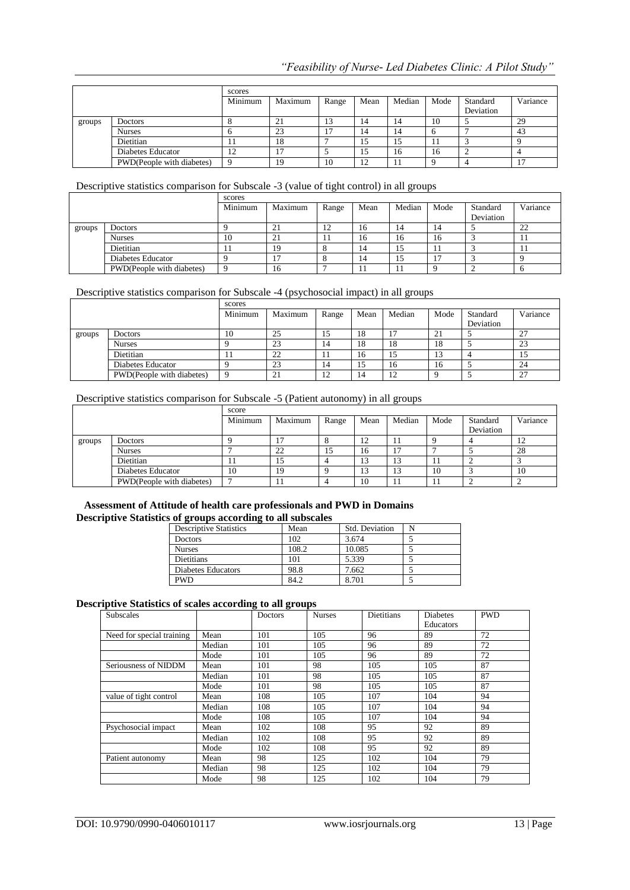|        |                           | scores  |         |       |      |        |      |                       |          |
|--------|---------------------------|---------|---------|-------|------|--------|------|-----------------------|----------|
|        |                           | Minimum | Maximum | Range | Mean | Median | Mode | Standard<br>Deviation | Variance |
|        |                           |         |         |       |      |        |      |                       |          |
| groups | <b>Doctors</b>            |         | 21      |       | 14   | 14     | 10   |                       | 29       |
|        | <b>Nurses</b>             |         | 23      |       | 14   | 14     |      |                       | 43       |
|        | Dietitian                 | . .     | 18      |       | IJ   | 15     | . .  |                       |          |
|        | Diabetes Educator         | 12      | n       |       | ⊥J   | 16     | 16   |                       |          |
|        | PWD(People with diabetes) |         | 19      | 10    |      | 11     |      |                       |          |

# Descriptive statistics comparison for Subscale -3 (value of tight control) in all groups

|        |                           | scores   |         |                |      |        |                |                       |          |
|--------|---------------------------|----------|---------|----------------|------|--------|----------------|-----------------------|----------|
|        |                           | Minimum  | Maximum | Range          | Mean | Median | Mode           | Standard<br>Deviation | Variance |
| groups | <b>Doctors</b>            |          | 21      | $\overline{1}$ | 16   | 14     | 14             |                       | 22       |
|        | <b>Nurses</b>             | 10       | 21      | . .            | 16   | 16     | 16             |                       | -11      |
|        | Dietitian                 |          | 19      |                | 14   | 15     |                |                       | -11      |
|        | Diabetes Educator         |          | -       |                | 14   | 15     | $\overline{ }$ |                       |          |
|        | PWD(People with diabetes) | $\Omega$ | 16      |                | . .  | -11    |                |                       |          |

# Descriptive statistics comparison for Subscale -4 (psychosocial impact) in all groups

|        |                           | scores  |                          |                |      |        |      |           |                      |
|--------|---------------------------|---------|--------------------------|----------------|------|--------|------|-----------|----------------------|
|        |                           | Minimum | Maximum                  | Range          | Mean | Median | Mode | Standard  | Variance             |
|        |                           |         |                          |                |      |        |      | Deviation |                      |
| groups | <b>Doctors</b>            | 10      | 25                       | ن 1            | 18   |        | 21   |           | 27<br>"              |
|        | <b>Nurses</b>             |         | 23                       | 14             | 18   | 18     | 18   |           | 23                   |
|        | <b>Dietitian</b>          | 11      | 22                       |                | 16   | 15     | 13   |           | 10                   |
|        | Diabetes Educator         |         | 23                       | 14             | 15   | 16     | 16   |           | 24                   |
|        | PWD(People with diabetes) |         | $^{\circ}$ 1<br>$\angle$ | $\overline{1}$ | 14   | ∸      |      |           | $\mathcal{L}$<br>ا ک |

# Descriptive statistics comparison for Subscale -5 (Patient autonomy) in all groups

|        |                           | score   |         |       |      |            |      |           |          |
|--------|---------------------------|---------|---------|-------|------|------------|------|-----------|----------|
|        |                           | Minimum | Maximum | Range | Mean | Median     | Mode | Standard  | Variance |
|        |                           |         |         |       |      |            |      | Deviation |          |
| groups | <b>Doctors</b>            |         |         |       | - ⊥  |            |      |           | 12       |
|        | <b>Nurses</b>             |         | 22      |       | 16   |            |      |           | 28       |
|        | Dietitian                 | . .     | 15      |       |      | $\sqrt{2}$ |      |           |          |
|        | Diabetes Educator         | 10      | 19      |       |      | 13         | 10   |           | 10       |
|        | PWD(People with diabetes) |         |         |       | 10   |            | . .  |           |          |

### **Assessment of Attitude of health care professionals and PWD in Domains Descriptive Statistics of groups according to all subscales**

| <b>Descriptive Statistics</b> | Mean  | Std. Deviation |  |
|-------------------------------|-------|----------------|--|
| <b>Doctors</b>                | 102   | 3.674          |  |
| <b>Nurses</b>                 | 108.2 | 10.085         |  |
| <b>Dietitians</b>             | 101   | 5.339          |  |
| Diabetes Educators            | 98.8  | 7.662          |  |
| <b>PWD</b>                    | 84.2  | 8.701          |  |

### **Descriptive Statistics of scales according to all groups**

| <b>Subscales</b>          |        | Doctors | <b>Nurses</b> | <b>Dietitians</b> | <b>Diabetes</b><br>Educators | <b>PWD</b> |
|---------------------------|--------|---------|---------------|-------------------|------------------------------|------------|
| Need for special training | Mean   | 101     | 105           | 96                | 89                           | 72         |
|                           | Median | 101     | 105           | 96                | 89                           | 72         |
|                           | Mode   | 101     | 105           | 96                | 89                           | 72         |
| Seriousness of NIDDM      | Mean   | 101     | 98            | 105               | 105                          | 87         |
|                           | Median | 101     | 98            | 105               | 105                          | 87         |
|                           | Mode   | 101     | 98            | 105               | 105                          | 87         |
| value of tight control    | Mean   | 108     | 105           | 107               | 104                          | 94         |
|                           | Median | 108     | 105           | 107               | 104                          | 94         |
|                           | Mode   | 108     | 105           | 107               | 104                          | 94         |
| Psychosocial impact       | Mean   | 102     | 108           | 95                | 92                           | 89         |
|                           | Median | 102     | 108           | 95                | 92                           | 89         |
|                           | Mode   | 102     | 108           | 95                | 92                           | 89         |
| Patient autonomy          | Mean   | 98      | 125           | 102               | 104                          | 79         |
|                           | Median | 98      | 125           | 102               | 104                          | 79         |
|                           | Mode   | 98      | 125           | 102               | 104                          | 79         |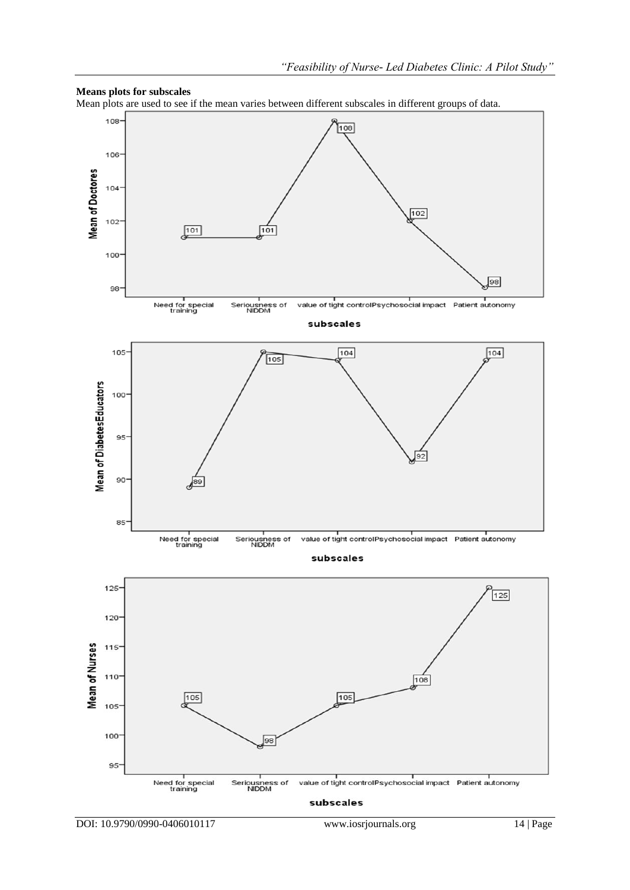

#### **Means plots for subscales**

Mean plots are used to see if the mean varies between different subscales in different groups of data.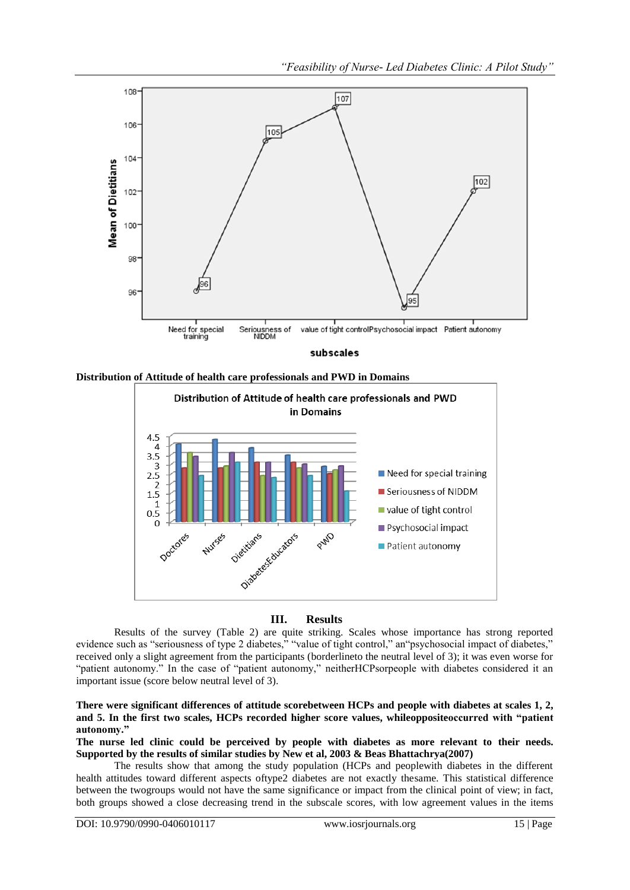

subscales





### **III. Results**

Results of the survey (Table 2) are quite striking. Scales whose importance has strong reported evidence such as "seriousness of type 2 diabetes," "value of tight control," an"psychosocial impact of diabetes," received only a slight agreement from the participants (borderlineto the neutral level of 3); it was even worse for "patient autonomy." In the case of "patient autonomy," neitherHCPsorpeople with diabetes considered it an important issue (score below neutral level of 3).

### **There were significant differences of attitude scorebetween HCPs and people with diabetes at scales 1, 2, and 5. In the first two scales, HCPs recorded higher score values, whileoppositeoccurred with "patient autonomy."**

**The nurse led clinic could be perceived by people with diabetes as more relevant to their needs. Supported by the results of similar studies by New et al, 2003 & Beas Bhattachrya(2007)**

The results show that among the study population (HCPs and peoplewith diabetes in the different health attitudes toward different aspects oftype2 diabetes are not exactly thesame. This statistical difference between the twogroups would not have the same significance or impact from the clinical point of view; in fact, both groups showed a close decreasing trend in the subscale scores, with low agreement values in the items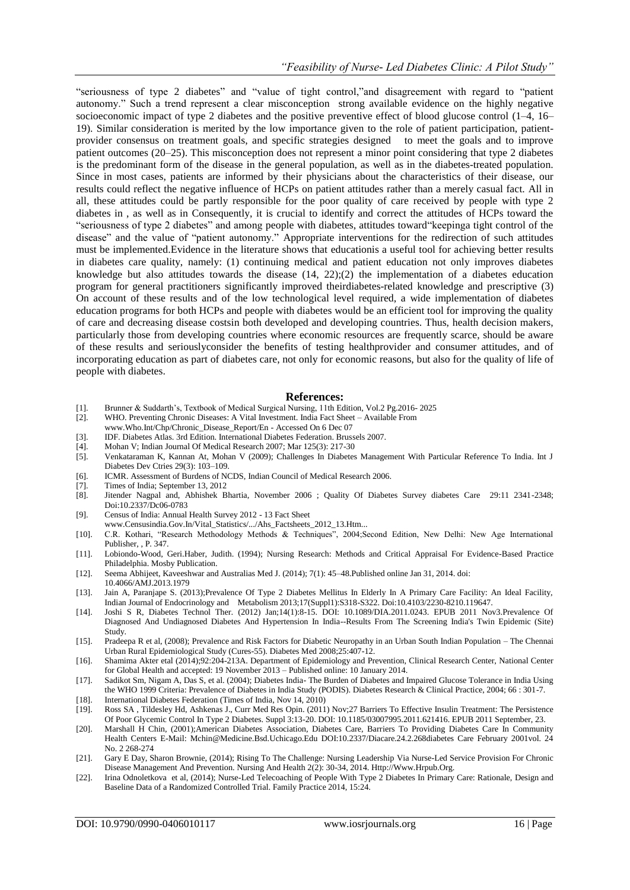"seriousness of type 2 diabetes" and "value of tight control,"and disagreement with regard to "patient" autonomy.‖ Such a trend represent a clear misconception strong available evidence on the highly negative socioeconomic impact of type 2 diabetes and the positive preventive effect of blood glucose control (1–4, 16– 19). Similar consideration is merited by the low importance given to the role of patient participation, patientprovider consensus on treatment goals, and specific strategies designed to meet the goals and to improve patient outcomes (20–25). This misconception does not represent a minor point considering that type 2 diabetes is the predominant form of the disease in the general population, as well as in the diabetes-treated population. Since in most cases, patients are informed by their physicians about the characteristics of their disease, our results could reflect the negative influence of HCPs on patient attitudes rather than a merely casual fact. All in all, these attitudes could be partly responsible for the poor quality of care received by people with type 2 diabetes in , as well as in Consequently, it is crucial to identify and correct the attitudes of HCPs toward the "seriousness of type 2 diabetes" and among people with diabetes, attitudes toward "keepinga tight control of the disease" and the value of "patient autonomy." Appropriate interventions for the redirection of such attitudes must be implemented.Evidence in the literature shows that educationis a useful tool for achieving better results in diabetes care quality, namely: (1) continuing medical and patient education not only improves diabetes knowledge but also attitudes towards the disease  $(14, 22)$ ; $(2)$  the implementation of a diabetes education program for general practitioners significantly improved theirdiabetes-related knowledge and prescriptive (3) On account of these results and of the low technological level required, a wide implementation of diabetes education programs for both HCPs and people with diabetes would be an efficient tool for improving the quality of care and decreasing disease costsin both developed and developing countries. Thus, health decision makers, particularly those from developing countries where economic resources are frequently scarce, should be aware of these results and seriouslyconsider the benefits of testing healthprovider and consumer attitudes, and of incorporating education as part of diabetes care, not only for economic reasons, but also for the quality of life of people with diabetes.

### **References:**

- [1]. Brunner & Suddarth's, Textbook of Medical Surgical Nursing, 11th Edition, Vol.2 Pg.2016- 2025
- [2]. WHO. Preventing Chronic Diseases: A Vital Investment. India Fact Sheet Available From
- www.Who.Int/Chp/Chronic\_Disease\_Report/En Accessed On 6 Dec 07
- [3]. IDF. Diabetes Atlas. 3rd Edition. International Diabetes Federation. Brussels 2007.
- [4]. Mohan V; Indian Journal Of Medical Research 2007; Mar 125(3): 217-30
- [5]. Venkataraman K, Kannan At, Mohan V (2009); Challenges In Diabetes Management With Particular Reference To India. Int J Diabetes Dev Ctries 29(3): 103–109.
- [6]. ICMR. Assessment of Burdens of NCDS, Indian Council of Medical Research 2006.
- [7]. Times of India; September 13, 2012
- [8]. Jitender Nagpal and, Abhishek Bhartia, November 2006 ; Quality Of Diabetes Survey diabetes Care 29:11 2341-2348; Doi:10.2337/Dc06-0783
- [9]. Census of India: Annual Health Survey 2012 13 Fact Sheet
- www.Censusindia.Gov.In/Vital\_Statistics/.../Ahs\_Factsheets\_2012\_13.Htm...
- [10]. C.R. Kothari, "Research Methodology Methods & Techniques", 2004;Second Edition, New Delhi: New Age International Publisher, , P. 347.
- [11]. Lobiondo-Wood, Geri.Haber, Judith. (1994); Nursing Research: Methods and Critical Appraisal For Evidence-Based Practice Philadelphia. Mosby Publication.
- [12]. Seema Abhijeet, Kaveeshwar and Australias Med J. (2014); 7(1): 45–48.Published online Jan 31, 2014. doi:
- 10.4066/AMJ.2013.1979 [13]. Jain A, Paranjape S. (2013);Prevalence Of Type 2 Diabetes Mellitus In Elderly In A Primary Care Facility: An Ideal Facility, Indian Journal of Endocrinology and Metabolism 2013;17(Suppl1):S318-S322. Doi:10.4103/2230-8210.119647.
- [14]. Joshi S R, Diabetes Technol Ther. (2012) Jan;14(1):8-15. DOI: 10.1089/DIA.2011.0243. EPUB 2011 Nov3.Prevalence Of Diagnosed And Undiagnosed Diabetes And Hypertension In India--Results From The Screening India's Twin Epidemic (Site) Study.
- [15]. Pradeepa R et al, (2008); Prevalence and Risk Factors for Diabetic Neuropathy in an Urban South Indian Population The Chennai Urban Rural Epidemiological Study (Cures-55). Diabetes Med 2008;25:407-12.
- [16]. Shamima Akter etal (2014);92:204-213A. Department of Epidemiology and Prevention, Clinical Research Center, National Center for Global Health and accepted: 19 November 2013 – Published online: 10 January 2014.
- [17]. Sadikot Sm, Nigam A, Das S, et al. (2004); Diabetes India- The Burden of Diabetes and Impaired Glucose Tolerance in India Using the WHO 1999 Criteria: Prevalence of Diabetes in India Study (PODIS). Diabetes Research & Clinical Practice, 2004; 66 : 301-7.
- [18]. International Diabetes Federation (Times of India, Nov 14, 2010)
- [19]. Ross SA , Tildesley Hd, Ashkenas J., Curr Med Res Opin. (2011) Nov;27 Barriers To Effective Insulin Treatment: The Persistence Of Poor Glycemic Control In Type 2 Diabetes. Suppl 3:13-20. DOI: 10.1185/03007995.2011.621416. EPUB 2011 September, 23.
- [20]. Marshall H Chin, (2001);American Diabetes Association, Diabetes Care, Barriers To Providing Diabetes Care In Community Health Centers E-Mail: Mchin@Medicine.Bsd.Uchicago.Edu DOI:10.2337/Diacare.24.2.268diabetes Care February 2001vol. 24 No. 2 268-274
- [21]. Gary E Day, Sharon Brownie, (2014); Rising To The Challenge: Nursing Leadership Via Nurse-Led Service Provision For Chronic Disease Management And Prevention. Nursing And Health 2(2): 30-34, 2014. Http://Www.Hrpub.Org.
- [22]. Irina Odnoletkova et al, (2014); Nurse-Led Telecoaching of People With Type 2 Diabetes In Primary Care: Rationale, Design and Baseline Data of a Randomized Controlled Trial. Family Practice 2014, 15:24.